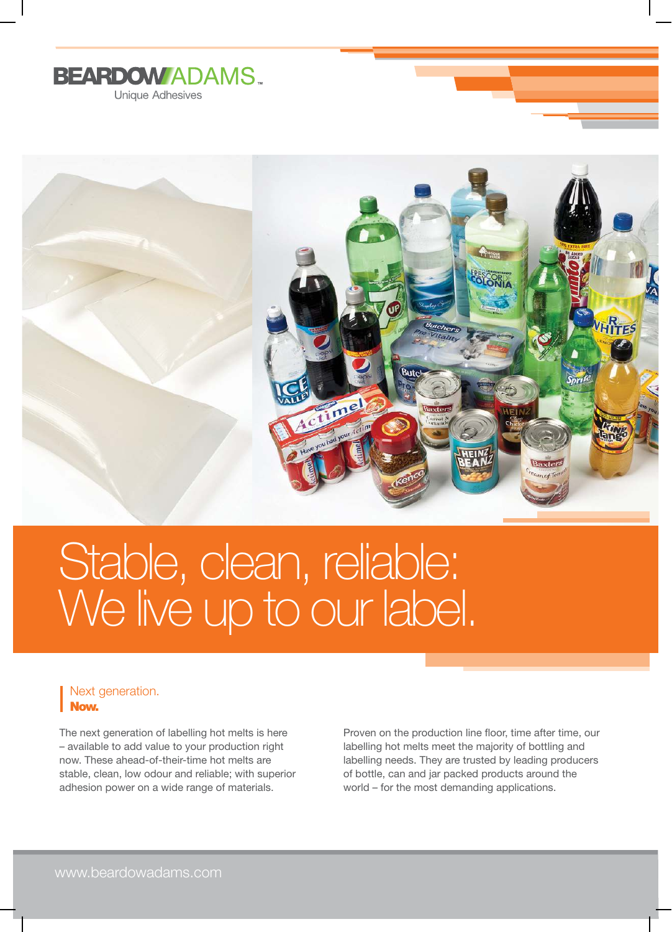



# Stable, clean, reliable: We live up to our label.

### Next generation. Now.

The next generation of labelling hot melts is here – available to add value to your production right now. These ahead-of-their-time hot melts are stable, clean, low odour and reliable; with superior adhesion power on a wide range of materials.

Proven on the production line floor, time after time, our labelling hot melts meet the majority of bottling and labelling needs. They are trusted by leading producers of bottle, can and jar packed products around the world – for the most demanding applications.